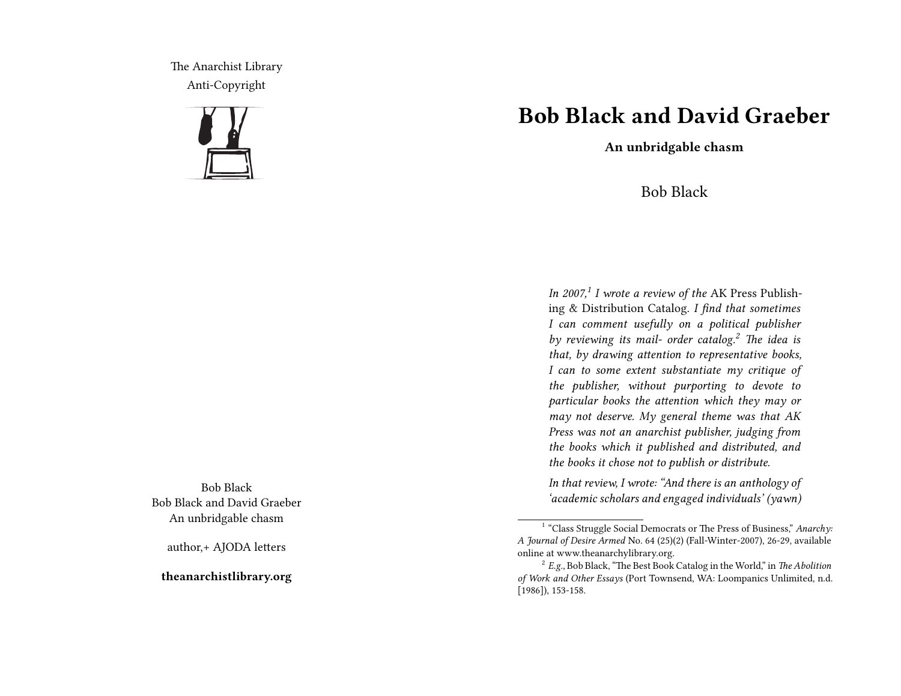The Anarchist Library Anti-Copyright



Bob Black Bob Black and David Graeber An unbridgable chasm

author,+ AJODA letters

**theanarchistlibrary.org**

## **Bob Black and David Graeber**

**An unbridgable chasm**

## Bob Black

*In 2007,<sup>1</sup> I wrote a review of the* AK Press Publishing & Distribution Catalog. *I find that sometimes I can comment usefully on a political publisher by reviewing its mail- order catalog.<sup>2</sup> The idea is that, by drawing attention to representative books, I can to some extent substantiate my critique of the publisher, without purporting to devote to particular books the attention which they may or may not deserve. My general theme was that AK Press was not an anarchist publisher, judging from the books which it published and distributed, and the books it chose not to publish or distribute.*

*In that review, I wrote: "And there is an anthology of 'academic scholars and engaged individuals' (yawn)*

<sup>&</sup>lt;sup>1</sup> "Class Struggle Social Democrats or The Press of Business," Anarchy: *A Journal of Desire Armed* No. 64 (25)(2) (Fall-Winter-2007), 26-29, available online at www.theanarchylibrary.org.

<sup>2</sup> *E.g.,* Bob Black, "The Best Book Catalog in the World," in *The Abolition of Work and Other Essays* (Port Townsend, WA: Loompanics Unlimited, n.d. [1986]), 153-158.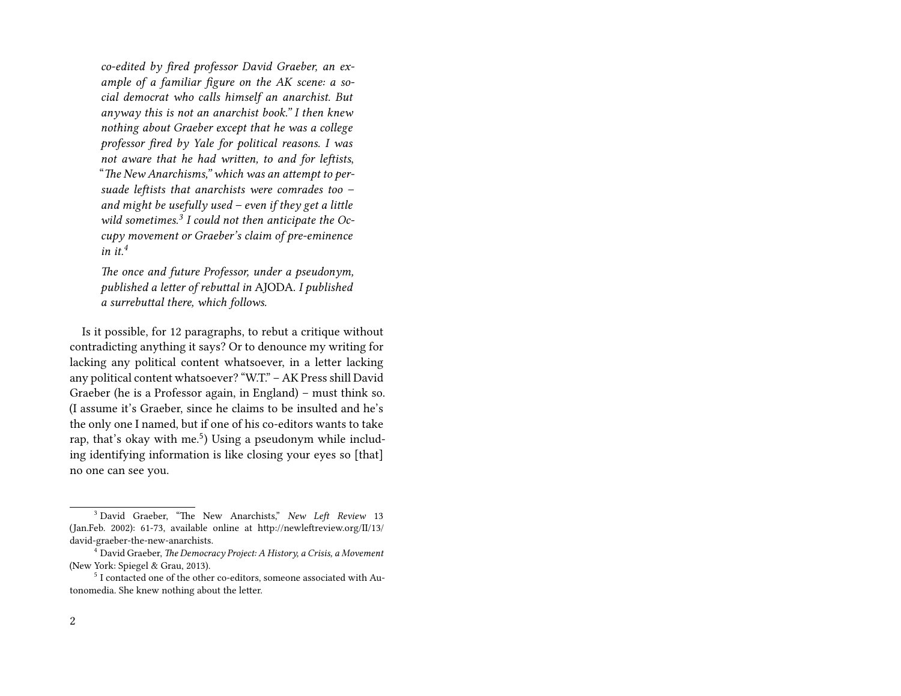*co-edited by fired professor David Graeber, an example of a familiar figure on the AK scene: a social democrat who calls himself an anarchist. But anyway this is not an anarchist book." I then knew nothing about Graeber except that he was a college professor fired by Yale for political reasons. I was not aware that he had written, to and for leftists*, "*The New Anarchisms," which was an attempt to persuade leftists that anarchists were comrades too – and might be usefully used – even if they get a little wild sometimes.<sup>3</sup> I could not then anticipate the Occupy movement or Graeber's claim of pre-eminence*  $in$  *it*<sup>4</sup>

*The once and future Professor, under a pseudonym, published a letter of rebuttal in* AJODA. *I published a surrebuttal there, which follows.*

Is it possible, for 12 paragraphs, to rebut a critique without contradicting anything it says? Or to denounce my writing for lacking any political content whatsoever, in a letter lacking any political content whatsoever? "W.T." – AK Press shill David Graeber (he is a Professor again, in England) – must think so. (I assume it's Graeber, since he claims to be insulted and he's the only one I named, but if one of his co-editors wants to take rap, that's okay with me.<sup>5</sup>) Using a pseudonym while including identifying information is like closing your eyes so [that] no one can see you.

<sup>3</sup> David Graeber, "The New Anarchists," *New Left Review* 13 (Jan.Feb. 2002): 61-73, available online at http://newleftreview.org/II/13/ david-graeber-the-new-anarchists.

<sup>4</sup> David Graeber, *The Democracy Project: A History, a Crisis, a Movement* (New York: Spiegel & Grau, 2013).

 $^{\rm 5}$  I contacted one of the other co-editors, someone associated with Autonomedia. She knew nothing about the letter.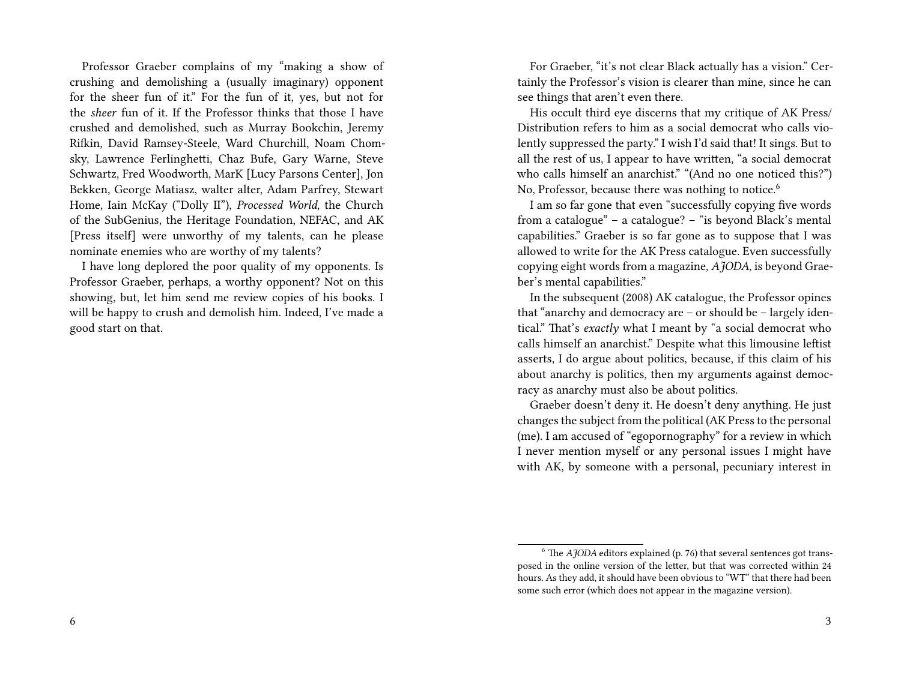Professor Graeber complains of my "making a show of crushing and demolishing a (usually imaginary) opponent for the sheer fun of it." For the fun of it, yes, but not for the *sheer* fun of it. If the Professor thinks that those I have crushed and demolished, such as Murray Bookchin, Jeremy Rifkin, David Ramsey-Steele, Ward Churchill, Noam Chomsky, Lawrence Ferlinghetti, Chaz Bufe, Gary Warne, Steve Schwartz, Fred Woodworth, MarK [Lucy Parsons Center], Jon Bekken, George Matiasz, walter alter, Adam Parfrey, Stewart Home, Iain McKay ("Dolly II"), *Processed World*, the Church of the SubGenius, the Heritage Foundation, NEFAC, and AK [Press itself] were unworthy of my talents, can he please nominate enemies who are worthy of my talents?

I have long deplored the poor quality of my opponents. Is Professor Graeber, perhaps, a worthy opponent? Not on this showing, but, let him send me review copies of his books. I will be happy to crush and demolish him. Indeed, I've made a good start on that.

For Graeber, "it's not clear Black actually has a vision." Certainly the Professor's vision is clearer than mine, since he can see things that aren't even there.

His occult third eye discerns that my critique of AK Press/ Distribution refers to him as a social democrat who calls violently suppressed the party." I wish I'd said that! It sings. But to all the rest of us, I appear to have written, "a social democrat who calls himself an anarchist." "(And no one noticed this?") No, Professor, because there was nothing to notice.<sup>6</sup>

I am so far gone that even "successfully copying five words from a catalogue" – a catalogue? – "is beyond Black's mental capabilities." Graeber is so far gone as to suppose that I was allowed to write for the AK Press catalogue. Even successfully copying eight words from a magazine, *AJODA*, is beyond Graeber's mental capabilities."

In the subsequent (2008) AK catalogue, the Professor opines that "anarchy and democracy are – or should be – largely identical." That's *exactly* what I meant by "a social democrat who calls himself an anarchist." Despite what this limousine leftist asserts, I do argue about politics, because, if this claim of his about anarchy is politics, then my arguments against democracy as anarchy must also be about politics.

Graeber doesn't deny it. He doesn't deny anything. He just changes the subject from the political (AK Press to the personal (me). I am accused of "egopornography" for a review in which I never mention myself or any personal issues I might have with AK, by someone with a personal, pecuniary interest in

 $6$  The *AJODA* editors explained (p. 76) that several sentences got transposed in the online version of the letter, but that was corrected within 24 hours. As they add, it should have been obvious to "WT" that there had been some such error (which does not appear in the magazine version).